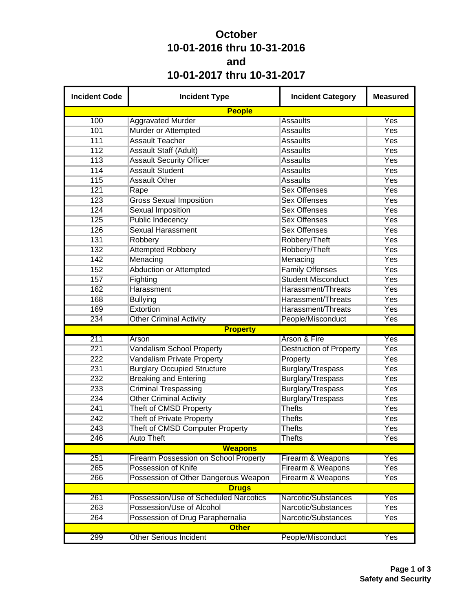## **October 10-01-2016 thru 10-31-2016 and 10-01-2017 thru 10-31-2017**

| <b>Incident Code</b> | <b>Incident Type</b>                         | <b>Incident Category</b>       | <b>Measured</b> |
|----------------------|----------------------------------------------|--------------------------------|-----------------|
|                      | <b>People</b>                                |                                |                 |
| 100                  | <b>Aggravated Murder</b>                     | <b>Assaults</b>                | Yes             |
| 101                  | Murder or Attempted                          | <b>Assaults</b>                | Yes             |
| 111                  | <b>Assault Teacher</b>                       | <b>Assaults</b>                | Yes             |
| 112                  | <b>Assault Staff (Adult)</b>                 | <b>Assaults</b>                | Yes             |
| 113                  | <b>Assault Security Officer</b>              | <b>Assaults</b>                | <b>Yes</b>      |
| 114                  | <b>Assault Student</b>                       | <b>Assaults</b>                | Yes             |
| 115                  | <b>Assault Other</b>                         | <b>Assaults</b>                | Yes             |
| 121                  | Rape                                         | <b>Sex Offenses</b>            | Yes             |
| 123                  | <b>Gross Sexual Imposition</b>               | <b>Sex Offenses</b>            | Yes             |
| 124                  | <b>Sexual Imposition</b>                     | <b>Sex Offenses</b>            | Yes             |
| 125                  | <b>Public Indecency</b>                      | <b>Sex Offenses</b>            | Yes             |
| 126                  | <b>Sexual Harassment</b>                     | <b>Sex Offenses</b>            | Yes             |
| 131                  | Robbery                                      | Robbery/Theft                  | Yes             |
| 132                  | <b>Attempted Robbery</b>                     | Robbery/Theft                  | Yes             |
| 142                  | Menacing                                     | Menacing                       | Yes             |
| 152                  | Abduction or Attempted                       | <b>Family Offenses</b>         | Yes             |
| 157                  | Fighting                                     | <b>Student Misconduct</b>      | Yes             |
| 162                  | Harassment                                   | Harassment/Threats             | Yes             |
| 168                  | <b>Bullying</b>                              | Harassment/Threats             | Yes             |
| 169                  | Extortion                                    | Harassment/Threats             | Yes             |
| 234                  | <b>Other Criminal Activity</b>               | People/Misconduct              | Yes             |
|                      | <b>Property</b>                              |                                |                 |
| 211                  | Arson                                        | Arson & Fire                   | Yes             |
| 221                  | <b>Vandalism School Property</b>             | <b>Destruction of Property</b> | Yes             |
| 222                  | <b>Vandalism Private Property</b>            | Property                       | Yes             |
| 231                  | <b>Burglary Occupied Structure</b>           | Burglary/Trespass              | Yes             |
| 232                  | <b>Breaking and Entering</b>                 | Burglary/Trespass              | Yes             |
| 233                  | <b>Criminal Trespassing</b>                  | Burglary/Trespass              | Yes             |
| 234                  | <b>Other Criminal Activity</b>               | Burglary/Trespass              | Yes             |
| 241                  | Theft of CMSD Property                       | <b>Thefts</b>                  | Yes             |
| 242                  | <b>Theft of Private Property</b>             | <b>Thefts</b>                  | Yes             |
| 243                  | Theft of CMSD Computer Property              | <b>Thefts</b>                  | Yes             |
| 246                  | <b>Auto Theft</b>                            | <b>Thefts</b>                  | Yes             |
|                      | <b>Weapons</b>                               |                                |                 |
| 251                  | <b>Firearm Possession on School Property</b> | Firearm & Weapons              | Yes             |
| 265                  | Possession of Knife                          | Firearm & Weapons              | Yes             |
| 266                  | Possession of Other Dangerous Weapon         | Firearm & Weapons              | Yes             |
|                      | <b>Drugs</b>                                 |                                |                 |
| 261                  | Possession/Use of Scheduled Narcotics        | Narcotic/Substances            | Yes             |
| 263                  | Possession/Use of Alcohol                    | Narcotic/Substances            | Yes             |
| 264                  | Possession of Drug Paraphernalia             | Narcotic/Substances            | Yes             |
|                      | <b>Other</b>                                 |                                |                 |
| 299                  | <b>Other Serious Incident</b>                | People/Misconduct              | Yes             |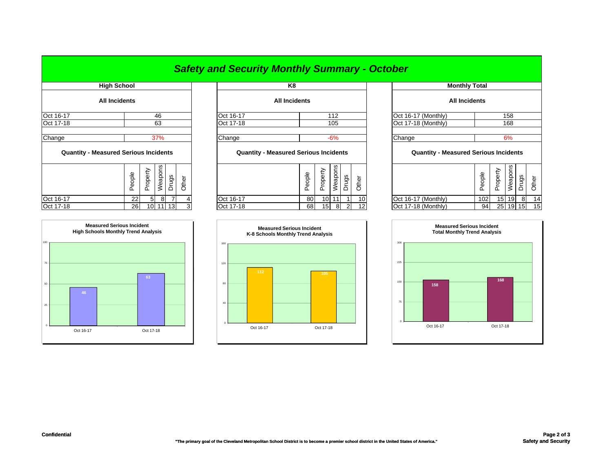|                                              |                      |        |                     |          |           |                      |  | <b>Safety and Security Monthly Summary - October</b> |                                              |        |                      |                     |                      |       |                                              |        |          |         |                 |       |
|----------------------------------------------|----------------------|--------|---------------------|----------|-----------|----------------------|--|------------------------------------------------------|----------------------------------------------|--------|----------------------|---------------------|----------------------|-------|----------------------------------------------|--------|----------|---------|-----------------|-------|
| <b>High School</b>                           |                      |        |                     | K8       |           |                      |  |                                                      |                                              |        | <b>Monthly Total</b> |                     |                      |       |                                              |        |          |         |                 |       |
|                                              | <b>All Incidents</b> |        |                     |          |           | <b>All Incidents</b> |  |                                                      |                                              |        |                      |                     | <b>All Incidents</b> |       |                                              |        |          |         |                 |       |
| Oct 16-17<br>46                              |                      |        |                     |          | Oct 16-17 |                      |  | 112                                                  |                                              |        |                      | Oct 16-17 (Monthly) |                      | 158   |                                              |        |          |         |                 |       |
| Oct 17-18                                    |                      | 63     |                     |          |           | Oct 17-18<br>105     |  |                                                      |                                              |        | Oct 17-18 (Monthly)  |                     |                      | 168   |                                              |        |          |         |                 |       |
| Change                                       |                      |        |                     | 37%      |           |                      |  | Change                                               |                                              |        |                      | $-6%$               |                      |       | Change                                       |        |          | 6%      |                 |       |
| <b>Quantity - Measured Serious Incidents</b> |                      |        |                     |          |           |                      |  |                                                      | <b>Quantity - Measured Serious Incidents</b> |        |                      |                     |                      |       | <b>Quantity - Measured Serious Incidents</b> |        |          |         |                 |       |
|                                              |                      | People | hoperty<br>$\Omega$ | Weapons  | Drugs     | Other                |  |                                                      |                                              | People | Property             | Weapons             | Drugs                | Other |                                              | People | Property | Weapons | Drugs           | Other |
| Oct 16-17                                    |                      | 22     | 51                  | 8        |           |                      |  | Oct 16-17                                            |                                              | 80     | 10 <sub>1</sub>      |                     |                      | 10    | Oct 16-17 (Monthly)                          | 102    |          | 15 19   | 8               | 14    |
| Oct 17-18                                    |                      | 26     |                     | 10 11 13 |           |                      |  | Oct 17-18                                            |                                              | 68     | 15 <sub>l</sub>      | 8                   | $\overline{2}$       | 12    | Oct 17-18 (Monthly)                          | 94     |          | 25 19   | 15 <sup>1</sup> | 15    |

| <b>Monthly Total</b>                         |        |          |    |                  |       |  |  |  |  |  |  |
|----------------------------------------------|--------|----------|----|------------------|-------|--|--|--|--|--|--|
| <b>All Incidents</b>                         |        |          |    |                  |       |  |  |  |  |  |  |
| Oct 16-17 (Monthly)<br>158                   |        |          |    |                  |       |  |  |  |  |  |  |
| Oct 17-18 (Monthly)<br>168                   |        |          |    |                  |       |  |  |  |  |  |  |
|                                              |        |          |    |                  |       |  |  |  |  |  |  |
| 6%<br>Change                                 |        |          |    |                  |       |  |  |  |  |  |  |
| <b>Quantity - Measured Serious Incidents</b> |        |          |    |                  |       |  |  |  |  |  |  |
|                                              | People | Property |    | Weapons<br>Drugs | Other |  |  |  |  |  |  |
| Oct 16-17 (Monthly)                          | 102    | 15       | 19 | 8                | 14    |  |  |  |  |  |  |
| Oct 17-18 (Monthly)                          | 94     | 25       | 19 | 15               | 15    |  |  |  |  |  |  |



## **105** 120 160**Measured Serious Incident K-8 Schools Monthly Trend Analysis** 80

0

40



**Measured Serious Incident High Schools Monthly Trend Analysis**

75

Oct 16-17 Oct 17-18

105